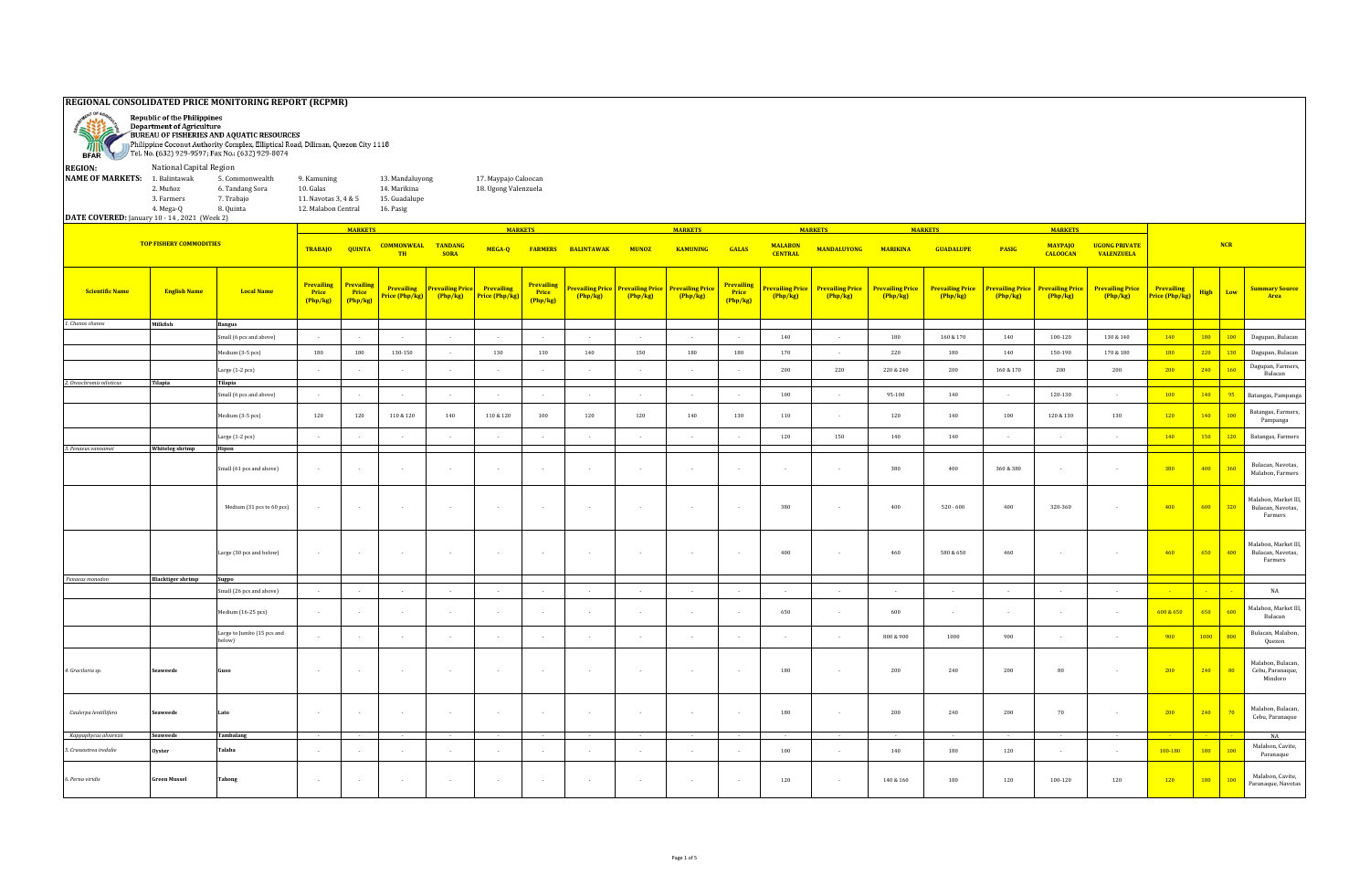## **REGIONAL CONSOLIDATED PRICE MONITORING REPORT (RCPMR) Republic of the Philippines ANY EXPERIENCE** Department of Agriculture BUREAU OF FISHERIES AND AQUATIC RESOURCES Ø Philippine Coconut Authority Complex, Elliptical Road, Diliman, Quezon City 1118 Tel. No. (632) 929-9597; Fax No.: (632) 929-8074 **BFAR REGION:** National Capital Region **NAME OF MARKETS:** 1. Balintawak 5. Commonwealth 9. Kamuning 13. Mandaluyong 17. Maypajo Caloocan<br>2. Muñoz 6. Tandang Sora 10. Galas 14. Marikina 18. Ugong Valenzuela 2. Muñoz 6. Tandang Sora 10. Galas 14. Marikina 18. Ugong Valenzuela 3. Farmers 7. Trabajo 11. Navotas 3, 4 & 5 15. Guadalupe 4. Mega-Q 8. Quinta 12. Malabon Central 16. Pasig **DATE COVERED:** January 10 - 14 , 2021 (Week 2) **MARKETS MARKETS MARKETS MARKETS MARKETS MARKETS TOP FISHERY COMMODITIES NCR MALABON CENTRAL MANDALUYONG MARIKINA GUADALUPE PASIG MAYPAJO UGONG PRIVATE TRABAJO QUINTA COMMONWEAL MUNOZ TANDANG SORA MEGA-Q FARMERS BALINTAWAK KAMUNING GALAS TH CALOOCAN VALENZUELA Prevailing Prevailing Prevailing Prevailing Prevailing Prevailing Price Prevailing Prevailing Price Prevailing Price Prevailing Price Prevailing Price Prevailing Price Prevailing Price Prevailing Price Prevailing Price Prevailing Price Prevailing Price Prevailing Price (Php/kg) High Low Summary Source Scientific Name English Name Local Name Price Price Price Price (Php/kg) (Php/kg) (Php/kg) Price (Php/kg) (Php/kg) Price (Php/kg) (Php/kg) (Php/kg) (Php/kg) (Php/kg) (Php/kg) (Php/kg) (Php/kg) Area (Php/kg) (Php/kg) (Php/kg) (Php/kg)** *1. Chanos chanos* **Milkfish Bangus** Small (6 pcs and above) - - - - - - - - - - 140 - 180 160 & 170 140 100-120 130 & 140 140 180 100 Dagupan, Bulacan Medium (3-5 pcs) | 180 | 180 | 130-150 | - | 130 | 130 | 140 | 150 | 180 | 170 | - | 220 | 180 | 140 | 150-190 | 170-8:180 <mark>| 180 | 220 | 130</mark> Dagupan,Bulacan Large (1-2 pcs) - - - - - - - - - - <sup>200</sup> <sup>220</sup> 220 & 240 <sup>200</sup> 160 & 170 200 <sup>200</sup> <sup>200</sup> <sup>240</sup> <sup>160</sup> Dagupan, Farmers, pan, rarm<br>Bulacan *2. Oreochromis niloticus* **Tilapia Tilapia** Small (6 pcs and above) - - - - - - - - - - 100 - 95-100 140 - 120-130 - 100 140 95 Batangas, Pampanga Medium (3-5 pcs) <sup>120</sup> <sup>120</sup> 110 & 120 <sup>140</sup> 110 & 120 <sup>100</sup> <sup>120</sup> <sup>120</sup> <sup>140</sup> <sup>130</sup> <sup>110</sup> - <sup>120</sup> <sup>140</sup> <sup>100</sup> 120 & 130 <sup>130</sup> <sup>120</sup> <sup>140</sup> <sup>100</sup> Batangas, Farmers, Pampanga Large (1-2 pcs) - - - - - - - - - - 120 150 140 140 - - - 140 150 120 Batangas, Farmers *3. Penaeus vannamei* **Whiteleg shrimp Hipon** Small (61 pcs and above) - - - - - - - - - - - - <sup>380</sup> <sup>400</sup> 360 & 380 - - <sup>380</sup> <sup>400</sup> <sup>360</sup> Bulacan, Navotas, Malabon, Farmers Malabon, Market III, Bulacan, Navotas, Medium (31 pcs to 60 pcs) - - - - - - - - - - 380 - 400 520 - 600 400 320-360 - 400 600 320 Farmers Malabon, Market III, Bulacan, Navotas, Large (30 pcs and below) - - - - - - - - - - 400 - 460 580 & 650 460 - - 460 650 400 Farmers  *Penaeus monodon* **Blacktiger shrimp Sugpo** Small (26 pcs and above) - - - - - - - - - - - - - - - - - - - - NA Medium (16-25 pcs) | . | . | . | . | . | . | . | . | 650 | . | 600 | . | . | . | . | 600 <mark>& 650 650 660 M</mark>alabon,Market III, Bulacan Large to Jumbo (15 pcs and below) - - - - - - - - - - - - 800 & 900 <sup>1000</sup> <sup>900</sup> - - <sup>900</sup> <sup>1000</sup> <sup>800</sup> Bulacan, Malabon, Quezon Malabon, Bulacan, *4. Gracilaria sp.* **Seaweeds Guso** - - - - - - - - - - 180 - 200 240 200 80 - 200 240 80 Cebu, Paranaque, Mindoro  *Caulerpa lentillifera* **Seaweeds Lato** - - - - - - - - - - <sup>180</sup> - <sup>200</sup> <sup>240</sup> <sup>200</sup> <sup>70</sup> - <sup>200</sup> <sup>240</sup> <sup>70</sup> Malabon, Bulacan, Cebu, Paranaque  *Kappaphycus alvarezii* **Seaweeds Tambalang** - - - - - - - - - - - - - - - - - - - - NA *5. Crassostrea iredalie* **Oyster Talaba** - - - - - - - - - - <sup>100</sup> - <sup>140</sup> <sup>180</sup> <sup>120</sup> - - 100-180 <sup>180</sup> <sup>100</sup> Malabon, Cavite, Paranaque *6. Perna viridis* **Green Mussel Tahong** - - - - - - - - - - <sup>120</sup> - 140 & 160 <sup>180</sup> <sup>120</sup> 100-120 <sup>120</sup> <sup>120</sup> <sup>180</sup> <sup>100</sup> Malabon, Cavite, Paranaque, Navotas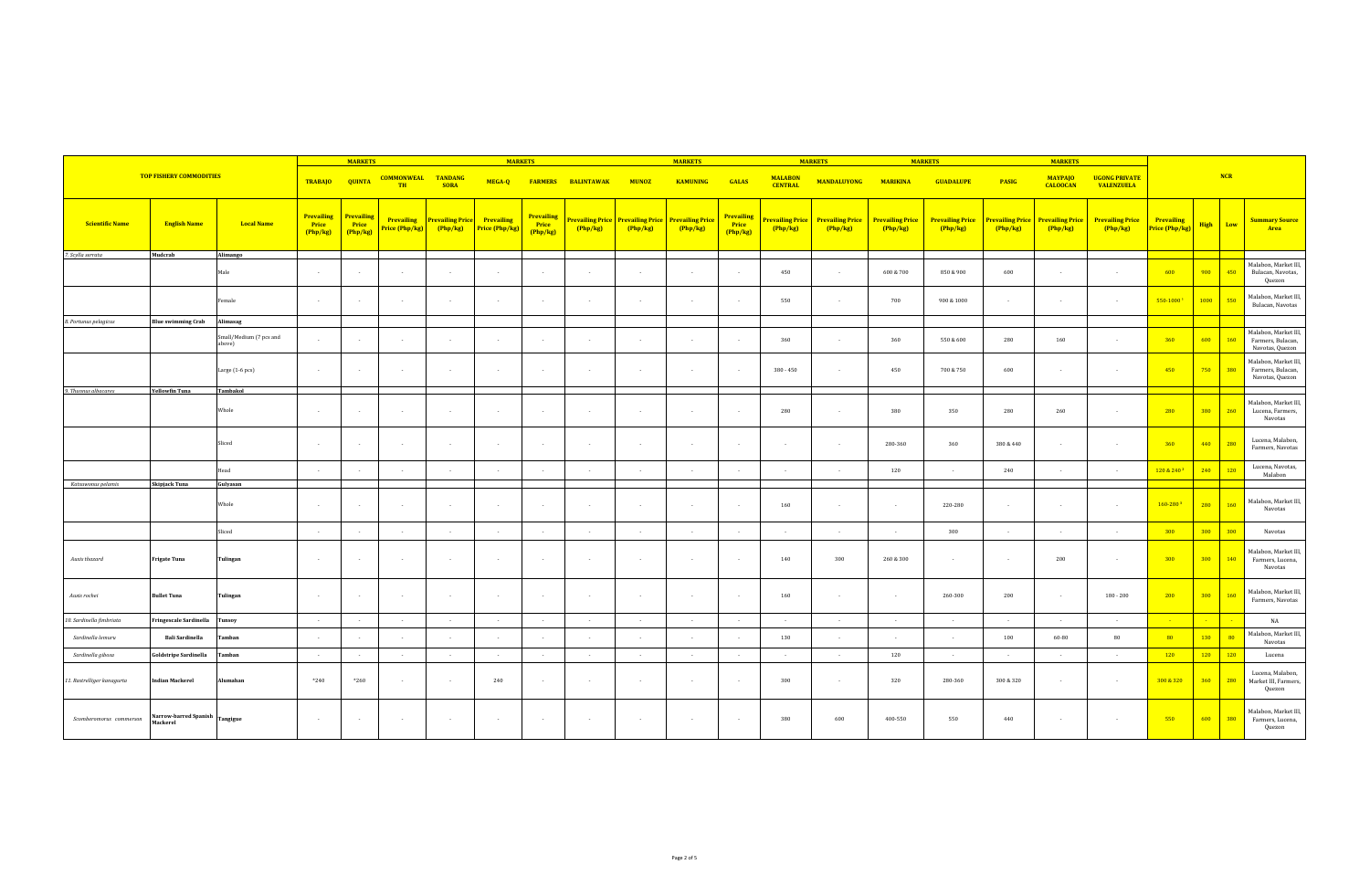|                            |                                   | <b>MARKETS</b>                    |                                        |                                      |                                                    | <b>MARKETS</b>                    |                                     |                                        |                                     | <b>MARKETS</b>                    |                                   |                                               | <b>MARKETS</b>                    |                                   | <b>MARKETS</b>                      |                                   | <b>MARKETS</b>                    |                                   |                                           |                                     |             |     |                                                              |
|----------------------------|-----------------------------------|-----------------------------------|----------------------------------------|--------------------------------------|----------------------------------------------------|-----------------------------------|-------------------------------------|----------------------------------------|-------------------------------------|-----------------------------------|-----------------------------------|-----------------------------------------------|-----------------------------------|-----------------------------------|-------------------------------------|-----------------------------------|-----------------------------------|-----------------------------------|-------------------------------------------|-------------------------------------|-------------|-----|--------------------------------------------------------------|
|                            | <b>TOP FISHERY COMMODITIES</b>    |                                   | <b>TRABAJO</b>                         | <b>QUINTA</b>                        | <b>COMMONWEAL</b><br><b>TH</b>                     | <b>TANDANG</b><br><b>SORA</b>     | MEGA-Q                              | <b>FARMERS</b>                         | <b>BALINTAWAK</b>                   | <b>MUNOZ</b>                      | <b>KAMUNING</b>                   | <b>GALAS</b>                                  | <b>MALABON</b><br><b>CENTRAL</b>  | <b>MANDALUYONG</b>                | <b>MARIKINA</b>                     | <b>GUADALUPE</b>                  | <b>PASIG</b>                      | <b>MAYPAJO</b><br><b>CALOOCAN</b> | <b>UGONG PRIVATE</b><br><b>VALENZUELA</b> |                                     |             |     |                                                              |
| <b>Scientific Name</b>     | <b>English Name</b>               | <b>Local Name</b>                 | <b>Prevailing</b><br>Price<br>(Php/kg) | <b>Prevailing</b><br>Price<br>Php/kg | <b>Prevailing</b><br>Price (Php/kg) <mark> </mark> | <b>Prevailing Price</b><br>Php/kg | <b>Prevailing</b><br>Price (Php/kg) | <b>Prevailing</b><br>Price<br>(Php/kg) | <b>Prevailing Price</b><br>(Php/kg) | <b>Prevailing Price</b><br>Php/kg | <b>Prevailing Price</b><br>Php/kg | <b>Prevailing</b><br><b>Price</b><br>(Php/kg) | <b>Prevailing Price</b><br>Php/kg | <b>Prevailing Price</b><br>Php/kg | <b>Prevailing Price</b><br>(Php/kg) | <b>Prevailing Price</b><br>Php/kg | <b>Prevailing Price</b><br>Php/kg | <b>Prevailing Price</b><br>Php/kg | <b>Prevailing Price</b><br>Php/kg         | <b>Prevailing</b><br>Price (Php/kg) | <b>High</b> | Low | <b>Summary Source</b><br>Area                                |
| 7. Scylla serrata          | Mudcrab                           | Alimango                          |                                        |                                      |                                                    |                                   |                                     |                                        |                                     |                                   |                                   |                                               |                                   |                                   |                                     |                                   |                                   |                                   |                                           |                                     |             |     |                                                              |
|                            |                                   | Male                              | $\sim$                                 |                                      | $\sim$                                             | $\sim$                            | $\sim$                              |                                        |                                     | $\sim$                            | $\sim$                            | $\sim$                                        | 450                               | $\sim$                            | 600 & 700                           | 850 & 900                         | 600                               | $\sim$                            | $\sim$                                    | $-600$                              | 900         | 450 | Malabon, Market III<br>Bulacan, Navotas,<br>Quezon           |
|                            |                                   | Female                            | $\sim$                                 |                                      | $\sim$                                             | $\sim$                            | $\sim$                              |                                        |                                     | $\sim$                            |                                   | $\sim$                                        | 550                               | $\sim$                            | 700                                 | 900 & 1000                        | $\sim$                            | $\sim$                            | $\sim$                                    | 550-10001                           | 1000        | 550 | Malabon, Market III,<br>Bulacan, Navotas                     |
| 8. Portunus pelagicus      | <b>Blue swimming Crab</b>         | Alimasag                          |                                        |                                      |                                                    |                                   |                                     |                                        |                                     |                                   |                                   |                                               |                                   |                                   |                                     |                                   |                                   |                                   |                                           |                                     |             |     |                                                              |
|                            |                                   | Small/Medium (7 pcs and<br>above) | $\sim$                                 |                                      | $\sim$                                             | $\sim$                            | $\sim$                              |                                        |                                     | $\sim$                            | $\sim$                            | $\sim$                                        | 360                               | $\sim$                            | 360                                 | 550 & 600                         | 280                               | 160                               | $\sim$                                    | 360                                 | 600         | 160 | Malabon, Market III,<br>Farmers, Bulacan,<br>Navotas, Quezon |
|                            |                                   | Large (1-6 pcs)                   | $\sim$                                 |                                      | $\sim$                                             | $\sim$                            | $\sim$                              |                                        |                                     | $\sim$                            | $\overline{a}$                    | $\sim$                                        | $380 - 450$                       | $\sim$                            | 450                                 | 700 & 750                         | 600                               |                                   | $\ddot{\phantom{a}}$                      | 450                                 | 750         | 380 | Malabon, Market III,<br>Farmers, Bulacan,<br>Navotas, Quezon |
| 9. Thunnus albacares       | <b>Yellowfin Tuna</b>             | Tambakol                          |                                        |                                      |                                                    |                                   |                                     |                                        |                                     |                                   |                                   |                                               |                                   |                                   |                                     |                                   |                                   |                                   |                                           |                                     |             |     |                                                              |
|                            |                                   | Whole                             | $\sim$                                 |                                      | $\sim$                                             | $\sim$                            | $\sim$                              |                                        |                                     | $\sim$                            | $\ddot{\phantom{a}}$              | $\sim$                                        | 280                               | $\sim$                            | 380                                 | 350                               | 280                               | 260                               | $\sim$                                    | 280                                 | 380         | 260 | Malabon, Market III,<br>Lucena, Farmers,<br>Navotas          |
|                            |                                   | Sliced                            | $\sim$                                 |                                      | $\sim$                                             | $\sim$                            | $\sim$                              |                                        |                                     | $\sim$                            | $\sim$                            | $\sim$                                        | $\sim$                            | $\sim$                            | 280-360                             | 360                               | 380 & 440                         | $\sim$                            | $\overline{\phantom{a}}$                  | 360                                 | 440         | 280 | Lucena, Malabon,<br>Farmers, Navotas                         |
|                            |                                   | Head                              | $\sim$                                 |                                      |                                                    | $\sim$                            | $\sim$                              |                                        |                                     |                                   |                                   | - 1                                           |                                   | $\sim$                            | 120                                 | $\sim$                            | 240                               |                                   | $\sim$                                    | 120 & 240 3                         | 240         | 120 | Lucena, Navotas,                                             |
|                            |                                   |                                   |                                        |                                      |                                                    |                                   |                                     |                                        |                                     |                                   |                                   |                                               |                                   |                                   |                                     |                                   |                                   |                                   |                                           |                                     |             |     | Malabon                                                      |
| Katsuwonus pelamis         | <b>Skipjack Tuna</b>              | Gulyasan<br>Whole                 | $\sim$                                 |                                      | $\sim$                                             | $\sim$                            | $\sim$                              |                                        |                                     | $\sim$                            | $\ddot{\phantom{a}}$              | $\sim$                                        | 160                               | $\sim$                            | $\sim$                              | 220-280                           | $\sim$                            | $\sim$                            | $\sim$                                    | 160-280 <sup>3</sup>                | 280         | 160 | Malabon, Market III,<br>Navotas                              |
|                            |                                   | Sliced                            | $\sim$                                 |                                      | $\sim$                                             | $\sim$                            | $\sim$                              |                                        | $\sim$                              | $\sim$                            | $\sim$                            | $\sim$                                        | $\sim$                            | $\sim$                            | $\sim$                              | 300                               | $\sim$                            | $\sim$                            | $\sim$                                    | 300                                 | 300         | 300 | Navotas                                                      |
| Auxis thazard              | <b>Frigate Tuna</b>               | Tulingan                          | $\sim$                                 |                                      | $\sim$                                             | $\sim$                            | $\sim$                              |                                        |                                     | $\sim$                            | $\sim$                            | $\sim$                                        | 140                               | 300                               | 260 & 300                           | $\sim$                            | $\sim$                            | 200                               | $\sim$                                    | 300                                 | 300         | 140 | Malabon, Market III,<br>Farmers, Lucena,<br>Navotas          |
| Auxis rochei               | <b>Bullet Tuna</b>                | Tulingan                          | $\sim$                                 |                                      | $\sim$                                             | $\sim$                            | $\sim$ 100 $\mu$                    |                                        |                                     | $\sim$                            | $\overline{a}$                    | $\sim$                                        | 160                               | $\sim$                            | $\sim$                              | 260-300                           | 200                               | $\sim$                            | $180 - 200$                               | 200                                 | 300         | 160 | Malabon, Market III,<br>Farmers, Navotas                     |
| 10. Sardinella fimbriata   | <b>Fringescale Sardinella</b>     | <b>Tunsov</b>                     | $\sim 10^{-1}$                         | $\sim$                               | $\sim$                                             | $\sim$                            | $\sim 10^{-1}$                      | $\sim$                                 | $\sim$                              | $\sim$                            | $\sim$                            | $\sim$                                        | $\sim$                            | $\sim$                            | $\sim$                              | $\sim$                            | $\sim$                            | $\sim$                            | $\sim$                                    |                                     | ×.          |     | $_{\rm NA}$                                                  |
| Sardinella lemuru          | <b>Bali Sardinella</b>            | Tamban                            | $\sim$                                 |                                      | $\sim$                                             | $\sim$                            | $\sim$                              |                                        |                                     |                                   |                                   | $\sim$                                        | 130                               |                                   |                                     |                                   | 100                               | 60-80                             | 80                                        | 80                                  | 130         | 80  | Malabon, Market III,<br>Navotas                              |
| Sardinella gibosa          | <b>Goldstripe Sardinella</b>      | Tamban                            | $\sim$ 100 $\mu$                       | $\sim$                               | $\sim$ 100 $\mu$                                   | $\sim$ $-$                        | $\sim 10^{-1}$                      | $\sim$                                 | $\sim$                              | $\sim$ $\sim$                     | $\sim$                            | $\sim 100$                                    | $\sim$                            | $\sim$                            | 120                                 | $\sim$                            | $\sim$                            | $\sim$                            | $\sim$                                    | $-120$                              | 120         | 120 | Lucena                                                       |
| 11. Rastrelliger kanagurta | <b>Indian Mackerel</b>            | Alumahan                          | $*240$                                 | $*260$                               | $\sim$                                             | $\sim$                            | 240                                 |                                        |                                     | $\sim$                            | $\overline{a}$                    | $\sim$                                        | 300                               | $\sim$                            | 320                                 | 280-360                           | 300 & 320                         | $\sim$                            | $\sim$                                    | 300 & 320                           | 360         | 280 | Lucena, Malabon,<br>Market III, Farmers,<br>Quezon           |
| Scomberomorus commerson    | Narrow-barred Spanish<br>Mackerel | Tangigue                          | $\sim$                                 | $\sim$                               | $\sim$                                             | $\sim$                            | $\sim$                              |                                        |                                     | $\sim$                            | $\overline{a}$                    | $\sim$                                        | 380                               | 600                               | 400-550                             | 550                               | 440                               | $\sim$                            | $\sim$                                    | 550                                 | 600         | 380 | Malabon, Market III,<br>Farmers, Lucena,<br>Quezon           |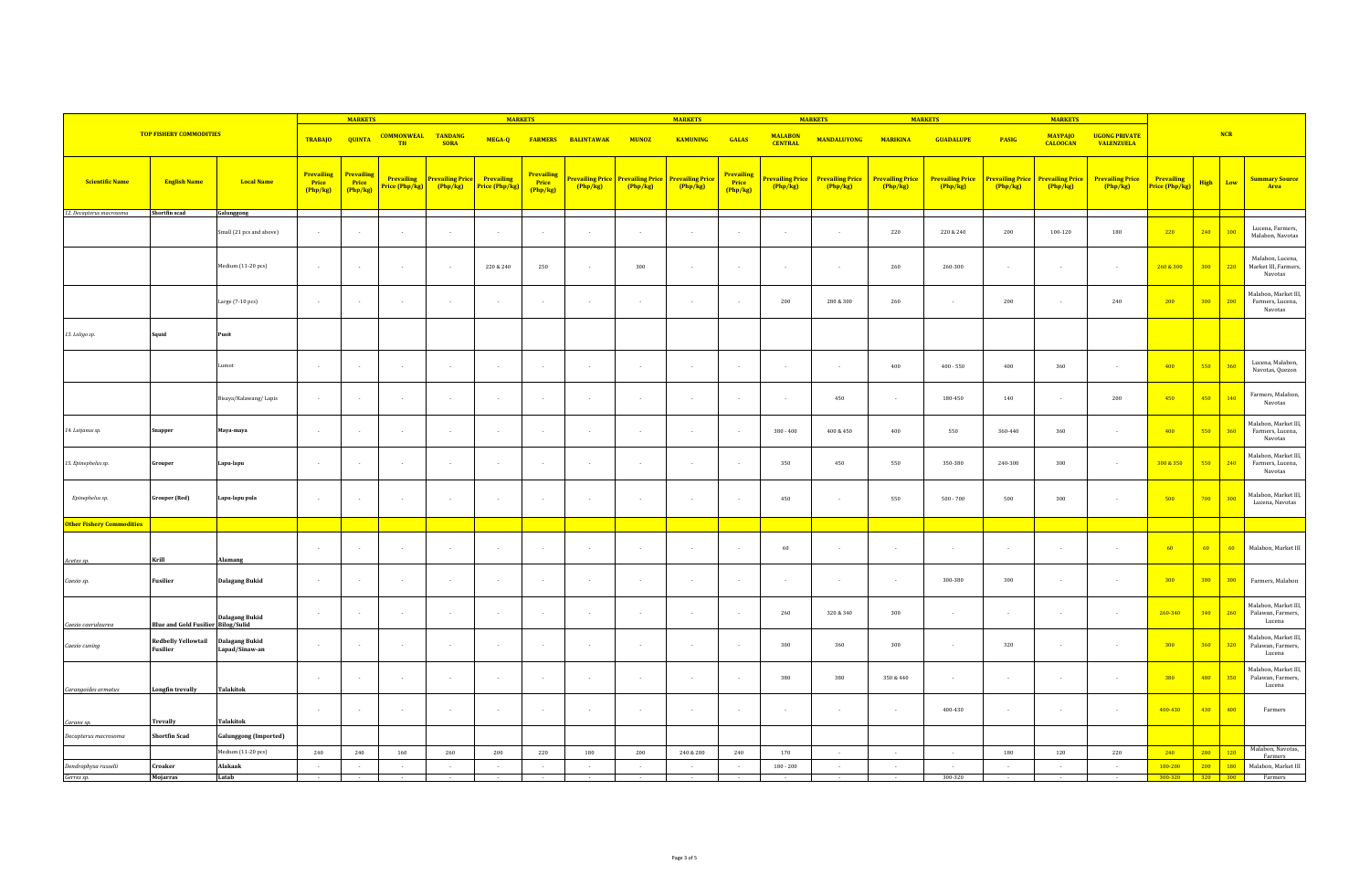|                                     |                                           |                                        | <b>MARKETS</b>                         |                                      |                                     |                               | <b>MARKETS</b>                      |                                        |                            |                                   | <b>MARKETS</b>                    |                               |                                  | <b>MARKETS</b>                    |                                   | <b>MARKETS</b>                    |                                   |                                   |                                           |                                     |             |        |                                                     |
|-------------------------------------|-------------------------------------------|----------------------------------------|----------------------------------------|--------------------------------------|-------------------------------------|-------------------------------|-------------------------------------|----------------------------------------|----------------------------|-----------------------------------|-----------------------------------|-------------------------------|----------------------------------|-----------------------------------|-----------------------------------|-----------------------------------|-----------------------------------|-----------------------------------|-------------------------------------------|-------------------------------------|-------------|--------|-----------------------------------------------------|
|                                     | <b>TOP FISHERY COMMODITIES</b>            |                                        | <b>TRABAJO</b>                         | <b>QUINTA</b>                        | <b>COMMONWEAL</b><br><b>TH</b>      | <b>TANDANG</b><br><b>SORA</b> | MEGA-Q                              |                                        | <b>FARMERS BALINTAWAK</b>  | <b>MUNOZ</b>                      | <b>KAMUNING</b>                   | GALAS                         | <b>MALABON</b><br><b>CENTRAL</b> | <b>MANDALUYONG</b>                | <b>MARIKINA</b>                   | <b>GUADALUPE</b>                  | <b>PASIG</b>                      | <b>MAYPAJO</b><br><b>CALOOCAN</b> | <b>UGONG PRIVATE</b><br><b>VALENZUELA</b> |                                     |             | NCR    |                                                     |
| <b>Scientific Name</b>              | <b>English Name</b>                       | <b>Local Name</b>                      | <b>Prevailing</b><br>Price<br>(Php/kg) | <b>Prevailing</b><br>Price<br>Php/kg | <b>Prevailing</b><br>Price (Php/kg) | revailing Price<br>Php/kg     | Prevailing<br><b>Price (Php/kg)</b> | <b>Prevailing</b><br>Price<br>(Php/kg) | Prevailing Price<br>Php/kg | <b>Prevailing Price</b><br>Php/kg | <b>Prevailing Price</b><br>Php/kg | Prevailing<br>Price<br>Php/kg | Prevailing Price<br>Php/kg       | <b>Prevailing Price</b><br>Php/kg | <b>Prevailing Price</b><br>Php/kg | <b>Prevailing Price</b><br>Php/kg | <b>Prevailing Price</b><br>Php/kg | <b>Prevailing Price</b><br>Php/kg | <b>Prevailing Price</b><br>Php/kg         | <b>Prevailing</b><br>Price (Php/kg) | <b>High</b> | Low    | <b>Summary Source</b><br>Area                       |
| 12. Decapterus macrosoma            | Shortfin scad                             | Galunggong                             |                                        |                                      |                                     |                               |                                     |                                        |                            |                                   |                                   |                               |                                  |                                   |                                   |                                   |                                   |                                   |                                           |                                     |             |        |                                                     |
|                                     |                                           | Small (21 pcs and above)               | $\sim$                                 |                                      |                                     | $\sim$                        | $\sim$                              | $\sim$                                 |                            |                                   |                                   |                               |                                  |                                   | 220                               | 220 & 240                         | 200                               | 100-120                           | 180                                       | 220                                 | 240         | 100    | Lucena, Farmers,<br>Malabon, Navotas                |
|                                     |                                           | Medium (11-20 pcs)                     | $\sim$                                 |                                      | $\sim$                              | $\sim$                        | 220 & 240                           | 250                                    | $\sim$                     | 300                               | $\cdot$                           | $\sim$                        | $\sim$                           |                                   | 260                               | 260-300                           | $\sim$                            | $\sim$                            | $\sim$                                    | 260 & 300                           | 300         | 220    | Malabon, Lucena,<br>Market III, Farmers,<br>Navotas |
|                                     |                                           | Large (7-10 pcs)                       | $\sim$                                 |                                      | $\sim$                              | $\sim$                        | $\sim$                              | $\sim$                                 | $\sim$                     |                                   | $\sim$                            | $\sim$                        | 200                              | 280 & 300                         | 260                               | $\sim$                            | 200                               | $\sim$                            | 240                                       | 200                                 | $300 -$     | 200    | Malabon, Market III<br>Farmers, Lucena,<br>Navotas  |
| 13. Loligo sp.                      | Squid                                     | Pusit                                  |                                        |                                      |                                     |                               |                                     |                                        |                            |                                   |                                   |                               |                                  |                                   |                                   |                                   |                                   |                                   |                                           |                                     |             |        |                                                     |
|                                     |                                           | Lumot                                  | $\sim$                                 |                                      | $\sim$                              | $\sim$                        | $\sim$                              | $\sim$                                 | $\sim$                     |                                   | $\sim$                            | $\sim$                        | $\sim$                           | $\sim$                            | 400                               | $400 - 550$                       | 400                               | $360\,$                           | $\epsilon$                                | 400                                 | 550         | 360    | Lucena, Malabon,<br>Navotas, Quezon                 |
|                                     |                                           | Bisaya/Kalawang/Lapis                  | $\sim$                                 | $\sim$                               | $\sim$                              | $\sim$                        | $\sim$                              | $\sim$                                 | $\sim$                     |                                   | $\sim$                            | $\sim$                        | $\sim$                           | 450                               | $\sim$                            | 180-450                           | 140                               | $\sim$                            | 200                                       | 450                                 | 450         | 140    | Farmers, Malabon,<br>Navotas                        |
| 14. Lutjanus sp.                    | Snapper                                   | Maya-maya                              | $\sim$                                 |                                      | $\sim$                              | $\sim$                        | $\sim$                              | $\sim$                                 |                            |                                   | $\sim$                            |                               | $380 - 400$                      | 400 & 450                         | 400                               | 550                               | 360-440                           | $360\,$                           | $\sim$                                    | 400                                 | 550         | 360    | Malabon, Market III,<br>Farmers, Lucena,<br>Navotas |
| 15. Epinephelus sp.                 | Grouper                                   | Lapu-lapu                              | $\sim 10$                              |                                      | $\sim$                              | $\sim$                        | $\sim$                              | $\sim$                                 | $\sim$                     |                                   | $\sim$                            | $\sim$                        | 350                              | 450                               | 550                               | 350-380                           | 240-300                           | 300                               | $\sim$                                    | 300 & 350                           | 550         | 240    | Malabon, Market III<br>Farmers, Lucena,<br>Navotas  |
| Epinephelus sp.                     | <b>Grouper</b> (Red)                      | Lapu-lapu pula                         | $\sim$                                 |                                      |                                     |                               | ÷.                                  | $\sim$                                 |                            |                                   |                                   | $\sim$                        | 450                              |                                   | 550                               | $500 - 700$                       | 500                               | 300                               |                                           | 500                                 | 700         | 300    | Malabon, Market III,<br>Lucena, Navotas             |
| <b>Other Fishery Commodities</b>    |                                           |                                        |                                        |                                      |                                     |                               |                                     |                                        |                            |                                   |                                   |                               |                                  |                                   |                                   |                                   |                                   |                                   |                                           |                                     |             |        |                                                     |
|                                     |                                           |                                        | $\sim$                                 |                                      | $\overline{\phantom{a}}$            | $\sim$                        | $\sim$                              | $\sim$                                 | $\sim$                     |                                   | $\sim$                            | $\sim$                        | 60                               | $\sim$                            | $\sim$                            | $\sim$                            | $\sim$                            | $\sim$                            | $\sim$                                    | 60                                  | 60          | 60     | Malabon, Market III                                 |
| Acetes sp<br>Caesio sp.             | Krill<br><b>Fusilier</b>                  | <b>Mamang</b><br><b>Dalagang Bukid</b> | $\sim$                                 |                                      | $\sim$                              | $\sim$                        | $\sim$                              | $\sim$                                 |                            |                                   | $\sim$                            | $\sim$                        | $\overline{\phantom{a}}$         |                                   | $\sim$                            | 300-380                           | 300                               | $\sim$                            | $\epsilon$                                | 300                                 | 380         | 300    | Farmers, Malabon                                    |
|                                     | <b>Blue and Gold Fusilier Bilog/Sulid</b> | Dalagang Bukid                         | $\sim$                                 | $\sim$                               | $\sim$                              | $\sim$                        | $\sim$                              | $\sim$                                 | $\sim$                     |                                   | $\sim$                            | $\sim$                        | 260                              | 320 & 340                         | 300                               | $\sim$                            | $\sim$                            | $\sim$                            | $\sim$                                    | 260-340                             | 340         | 260    | Malabon, Market III<br>Palawan, Farmers,<br>Lucena  |
| Caesio caerulaurea<br>Caesio cuning | <b>Redbelly Yellowtail</b><br>Fusilier    | Dalagang Bukid<br>Lapad/Sinaw-an       | $\sim$                                 | $\sim$                               | $\sim$                              | $\sim$                        | $\sim$                              | $\sim$                                 | $\sim$                     |                                   | $\sim$                            | $\sim$                        | 300                              | 360                               | 300                               | $\sim$                            | 320                               | $\sim$                            | $\sim$                                    | 300                                 | 360         | 320    | Malabon, Market III,<br>Palawan, Farmers,<br>Lucena |
| Carangoides armatus                 | Longfin trevally                          | <b>Talakitok</b>                       | $\sim$                                 |                                      | ٠.                                  | $\sim$                        | $\sim$                              | $\sim$                                 |                            |                                   |                                   | $\sim$                        | 380                              | 380                               | 350 & 440                         |                                   |                                   | $\sim$                            | $\cdot$                                   | 380                                 | 480         | 350    | Malabon, Market III<br>Palawan, Farmers,<br>Lucena  |
| Caranx sp.                          | <b>Trevally</b>                           | Talakitok                              | $\sim$                                 | $\sim$                               | $\sim$                              | $\sim$                        | $\sim$                              | $\sim$                                 | $\sim$                     | $\sim$                            | $\sim$                            | $\sim$                        | $\sim$                           | $\sim$                            | $\sim$                            | 400-430                           | $\sim$                            | $\sim$                            | $\sim$                                    | 400-430                             | 430         | $-400$ | Farmers                                             |
| Decapterus macrosoma                | <b>Shortfin Scad</b>                      | <b>Galunggong (Imported)</b>           |                                        |                                      |                                     |                               |                                     |                                        |                            |                                   |                                   |                               |                                  |                                   |                                   |                                   |                                   |                                   |                                           |                                     |             |        |                                                     |
|                                     |                                           | Medium (11-20 pcs)                     | 240                                    | 240                                  | 160                                 | 260                           | 200                                 | 220                                    | 180                        | $200\,$                           | 240 & 280                         | 240                           | 170                              | $\sim 10^{-1}$                    | $\sim 10^{-1}$                    | $\sim$                            | 180                               | 120                               | 220                                       | $-240$                              | 280         | $-120$ | Malabon, Navotas,                                   |
| Dendrophysa russelii                | Croaker                                   | Alakaak                                | $\sim$                                 | $\sim$                               | $\sim$                              | $\sim$                        | $\sim$                              | $\sim$                                 | $\sim$                     | $\sim$                            | $\sim$                            | $\sim$                        | $180 - 200$                      | $\sim 100$                        | $\sim$                            | $\sim$                            | $\sim$                            | $\sim$                            | $\sim$                                    | 180-200                             | $-200$      | $-180$ | Farmer<br>Malabon, Market III                       |
| Gerres sp.                          | Mojarras                                  | Latab                                  |                                        |                                      |                                     |                               |                                     |                                        |                            |                                   |                                   |                               |                                  |                                   |                                   | 300-320                           |                                   |                                   |                                           | 300-320 320 300                     |             |        | Farmers                                             |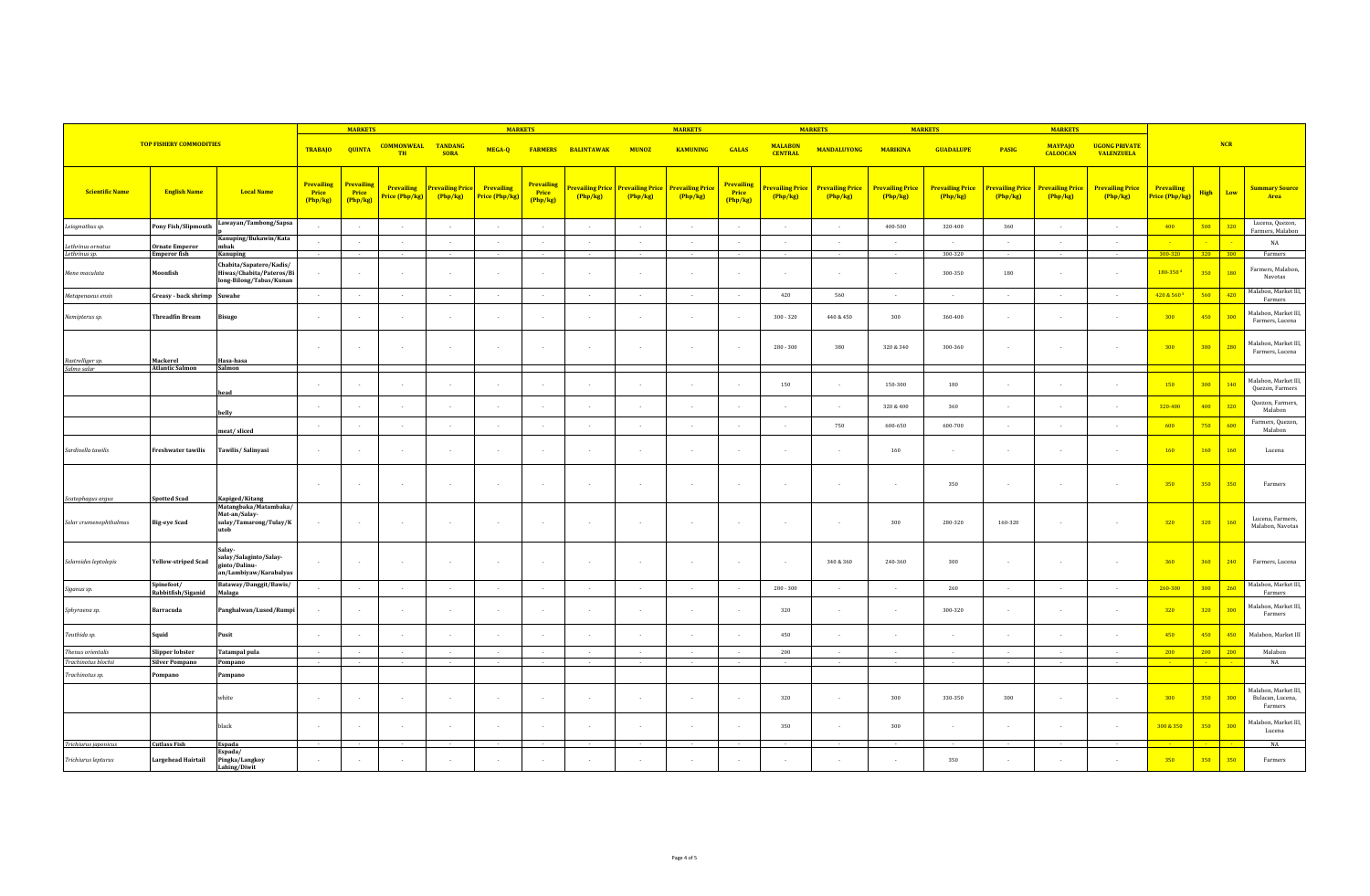|                                             |                                                 |                                                                                                   | <b>MARKETS</b>                         | <b>MARKETS</b><br><b>MARKETS</b><br><b>MARKETS</b><br><b>MARKETS</b> |                                     |                               |                              |                                        |                            |                            | <b>MARKETS</b>                      |                                        |                                  |                                   |                                   |                                   |                            |                                   |                                           |                                     |     |          |                                                     |
|---------------------------------------------|-------------------------------------------------|---------------------------------------------------------------------------------------------------|----------------------------------------|----------------------------------------------------------------------|-------------------------------------|-------------------------------|------------------------------|----------------------------------------|----------------------------|----------------------------|-------------------------------------|----------------------------------------|----------------------------------|-----------------------------------|-----------------------------------|-----------------------------------|----------------------------|-----------------------------------|-------------------------------------------|-------------------------------------|-----|----------|-----------------------------------------------------|
| <b>TOP FISHERY COMMODITIES</b>              |                                                 |                                                                                                   | <b>TRABAJO</b>                         | <b>QUINTA</b>                                                        | <b>COMMONWEAL</b><br><b>TH</b>      | <b>TANDANG</b><br><b>SORA</b> | MEGA-Q                       |                                        | <b>FARMERS BALINTAWAK</b>  | <b>MUNOZ</b>               | <b>KAMUNING</b>                     | <b>GALAS</b>                           | <b>MALABON</b><br><b>CENTRAL</b> | <b>MANDALUYONG</b>                | <b>MARIKINA</b>                   | <b>GUADALUPE</b>                  | <b>PASIG</b>               | <b>MAYPAJO</b><br><b>CALOOCAN</b> | <b>UGONG PRIVATE</b><br><b>VALENZUELA</b> |                                     |     | NCR      |                                                     |
| <b>Scientific Name</b>                      | <b>English Name</b>                             | <b>Local Name</b>                                                                                 | <b>Prevailing</b><br>Price<br>(Php/kg) | <b>Prevailing</b><br>Price<br>(Php/kg)                               | <b>Prevailing</b><br>Price (Php/kg) | revailing Price<br>Php/kg     | Prevailing<br>Price (Php/kg) | <b>Prevailing</b><br>Price<br>(Php/kg) | Prevailing Price<br>Php/kg | Prevailing Price<br>Php/kg | <b>Prevailing Price</b><br>(Php/kg) | Prevailing<br><b>Price</b><br>(Php/kg) | revailing Price<br>(Php/kg)      | <b>Prevailing Price</b><br>Php/kg | <b>Prevailing Price</b><br>Php/kg | <b>Prevailing Price</b><br>Php/kg | Prevailing Price<br>Php/kg | <b>Prevailing Price</b><br>Php/kg | <b>Prevailing Price</b><br>Php/kg         | <b>Prevailing</b><br>Price (Php/kg) |     | High Low | <b>Summary Source</b><br><b>Area</b>                |
| Leiognathus sp.                             | Pony Fish/Slipmouth                             | Lawayan/Tambong/Sapsa                                                                             |                                        | $\sim$                                                               | $\overline{a}$                      | $\sim$                        | $\sim$ $\sim$                | $\sim$                                 | $\sim$                     | $\sim$                     | $\sim$                              |                                        | $\overline{\phantom{a}}$         | $\sim$                            | 400-500                           | 320-400                           | 360                        | $\sim$                            | $\sim$                                    | 400                                 | 500 | 320      | Lucena, Quezon,<br>Farmers, Malabon                 |
| Lethrinus ornatus                           | <b>Ornate Emperor</b>                           | Kanuping/Bukawin/Kata<br>mbak                                                                     | $\sim$                                 | $\sim$                                                               |                                     | $\sim$                        | $\sim$                       |                                        |                            |                            |                                     |                                        |                                  |                                   |                                   |                                   |                            |                                   |                                           |                                     |     |          | NA                                                  |
| Lethrinus sp.                               | <b>Emperor fish</b>                             | Kanuping                                                                                          |                                        |                                                                      |                                     |                               |                              |                                        |                            |                            |                                     |                                        |                                  |                                   |                                   | 300-320                           |                            |                                   |                                           | 300-320                             | 320 | 300      | Farmers                                             |
| Mene maculata                               | Moonfish                                        | Chabita/Sapatero/Kadis/<br>Hiwas/Chabita/Pateros/B<br>long-Bilong/Tabas/Kunan                     |                                        |                                                                      | $\cdot$                             | $\sim$                        | $\sim$                       |                                        |                            |                            |                                     | $\sim$                                 |                                  |                                   | $\sim$                            | 300-350                           | 180                        | $\sim$                            |                                           | 180-350                             | 350 | 180      | Farmers, Malabon,<br>Navotas                        |
| Metapenaeus ensis                           | Greasy - back shrimp Suwahe                     |                                                                                                   | $\sim 10$                              |                                                                      | $\overline{a}$                      | $\sim$                        | $\sim$                       | $\sim$                                 | $\sim$                     | $\sim$                     | $\sim$                              | $\sim$                                 | 420                              | 560                               | $\sim$                            | $\sim$                            | $\sim$                     | $\sim$                            | $\sim$                                    | 420 & 560                           | 560 | 420      | Malabon, Market III,<br>Farmers                     |
| Nemipterus sp.                              | <b>Threadfin Bream</b>                          | Bisugo                                                                                            | $\sim$                                 |                                                                      | $\sim$                              | $\sim$                        | $\sim$                       |                                        |                            |                            |                                     |                                        | $300 - 320$                      | 440 & 450                         | 300                               | 360-400                           |                            | $\sim$                            |                                           | 300                                 | 450 | 300      | Malabon, Market III,<br>Farmers, Lucena             |
|                                             | Mackerel                                        | Hasa-hasa                                                                                         | $\sim$                                 |                                                                      | $\sim$                              | $\sim$                        | $\sim$                       | $\sim$                                 | $\sim$                     | $\sim$                     | $\sim$                              | $\sim$                                 | $280 - 300$                      | 380                               | 320 & 340                         | 300-360                           | $\sim$                     | $\sim$                            | $\sim$                                    | 300                                 | 380 | 280      | Malabon, Market III,<br>Farmers, Lucena             |
| Rastrelliger sp.<br>Salmo salar             | <b>Atlantic Salmon</b>                          | Salmon                                                                                            |                                        |                                                                      |                                     |                               |                              |                                        |                            |                            |                                     |                                        |                                  |                                   |                                   |                                   |                            |                                   |                                           |                                     |     |          |                                                     |
|                                             |                                                 | head                                                                                              | $\sim$                                 |                                                                      | $\overline{\phantom{a}}$            | $\sim$                        | $\sim$                       |                                        |                            |                            |                                     | $\sim$                                 | 150                              | $\sim$                            | 150-300                           | 180                               |                            | $\sim$                            |                                           | 150                                 | 300 | 140      | Malabon, Market III,<br>Quezon, Farmers             |
|                                             |                                                 | belly                                                                                             | $\sim$                                 |                                                                      | $\overline{a}$                      | $\sim$                        | $\sim$                       | $\sim$                                 | $\sim$                     | $\sim$                     | $\sim$                              | - 11                                   |                                  | $\sim$                            | 320 & 400                         | 360                               | $\sim$                     | $\sim$                            | $\sim$                                    | 320-400                             | 400 | 320      | Quezon, Farmers,<br>Malabon                         |
|                                             |                                                 | meat/sliced                                                                                       | $\sim$ 100 $\mu$                       |                                                                      | . .                                 |                               | $\sim$                       |                                        |                            |                            |                                     |                                        |                                  | 750                               | 600-650                           | 600-700                           |                            | $\sim$                            |                                           | $-600$                              | 750 | 600      | Farmers, Quezon,<br>Malabon                         |
| Sardinella tawilis                          | <b>Freshwater tawilis</b>                       | Tawilis/Salinyasi                                                                                 | $\sim$ $\sim$                          |                                                                      | $\sim$                              | ÷.                            | $\sim$                       |                                        |                            |                            |                                     | - 1                                    | $\sim$                           |                                   | 160                               | i.                                |                            | $\sim$                            |                                           | 160                                 | 160 | 160      | Lucena                                              |
|                                             |                                                 |                                                                                                   | $\sim$                                 |                                                                      | $\sim$                              | $\sim$                        | $\sim$                       |                                        |                            |                            |                                     | $\sim$                                 | $\overline{\phantom{a}}$         |                                   |                                   | 350                               |                            | $\overline{\phantom{a}}$          |                                           | 350                                 | 350 | 350      | Farmers                                             |
| Scatophagus argus<br>Selar crumenophthalmus | <b>Spotted Scad</b><br><b>Big-eye Scad</b>      | <b>Kapiged/Kitang</b><br>Matangbaka/Matambaka/<br>Mat-an/Salay-<br>salay/Tamarong/Tulay/K<br>utob | ٠.                                     |                                                                      | $\sim$                              | $\sim$                        | $\sim$                       |                                        |                            |                            |                                     | $\sim$                                 | $\overline{\phantom{a}}$         |                                   | 300                               | 280-320                           | 160-320                    | $\sim$                            |                                           | 320                                 | 320 | 160      | Lucena, Farmers,<br>Malabon, Navotas                |
| Selaroides leptolepis                       | Yellow-striped Scad                             | Salay-<br>salay/Salaginto/Salay-<br>ginto/Dalinu-<br>an/Lambiyaw/Karabalyas                       |                                        |                                                                      | $\sim$                              | $\sim$                        | $\sim$                       |                                        |                            |                            |                                     |                                        | $\overline{\phantom{a}}$         | 340 & 360                         | 240-360                           | 300                               |                            | $\sim$                            |                                           | 360                                 | 360 | 240      | Farmers, Lucena                                     |
| Siganus sp.                                 | Spinefoot/<br>Rabbitfish/Siganid                | Bataway/Danggit/Bawis/<br>Malaga                                                                  | $\sim$                                 | $\sim$                                                               | $\sim$                              | $\sim$                        | $\sim$                       | $\sim$                                 | $\sim$                     | $\sim$                     | $\sim$                              | - 11                                   | $280 - 300$                      | $\sim$                            | $\overline{a}$                    | 260                               | $\sim$                     | $\sim$                            | $\sim$                                    | 260-300                             | 300 | 260      | Malabon, Market III,<br>Farmers                     |
| Sphyraena sp.                               | Barracuda                                       | Panghalwan/Lusod/Rump                                                                             | $\sim$                                 |                                                                      | . .                                 | - 1                           | $\sim$                       |                                        |                            |                            |                                     |                                        | 320                              | $\sim$                            | $\sim$                            | 300-320                           |                            | $\sim$                            |                                           | 320                                 | 320 | 300      | Malabon, Market III,<br>Farmers                     |
| Teuthida sp.                                | Squid                                           | Pusit                                                                                             |                                        |                                                                      |                                     |                               | $\sim$                       |                                        |                            |                            |                                     |                                        | 450                              |                                   |                                   |                                   |                            |                                   |                                           | 450                                 | 450 | 450      | Malabon, Market III                                 |
| Thenus orientalis<br>Trachinotus blochii    | <b>Slipper lobster</b><br><b>Silver Pompano</b> | Tatampal pula<br>Pompano                                                                          | $\sim$ $\sim$                          |                                                                      |                                     |                               | $\sim$                       |                                        |                            |                            |                                     |                                        | 200                              | $\sim$                            |                                   | $\sim$                            |                            |                                   | $\sim$                                    | 200                                 | 200 | 200      | Malabon<br>NA                                       |
| Trachinotus sp.                             | Pompano                                         | Pampano                                                                                           |                                        |                                                                      |                                     |                               |                              |                                        |                            |                            |                                     |                                        |                                  |                                   |                                   |                                   |                            |                                   |                                           |                                     |     |          |                                                     |
|                                             |                                                 | white                                                                                             | ÷.                                     |                                                                      |                                     | ÷                             | $\sim$                       |                                        |                            |                            |                                     |                                        | 320                              |                                   | 300                               | 330-350                           | 300                        | $\sim$                            |                                           | 300                                 | 350 | 300      | Malabon, Market III,<br>Bulacan, Lucena,<br>Farmers |
|                                             |                                                 | black                                                                                             | $\sim$                                 |                                                                      |                                     | $\sim$                        | $\sim$                       |                                        |                            |                            |                                     |                                        | 350                              |                                   | 300                               | $\sim$                            |                            |                                   |                                           | 300 & 350                           | 350 | 300      | Malabon, Market III,<br>Lucena                      |
| Trichiurus japonicus                        | <b>Cutlass Fish</b>                             | Espada<br>Espada/                                                                                 | $\sim$                                 | $\sim$                                                               |                                     |                               | $\sim$                       |                                        |                            |                            |                                     | $\sim$                                 |                                  |                                   |                                   | $\sim$                            |                            |                                   |                                           |                                     |     |          | NA                                                  |
| Trichiurus lepturus                         | <b>Largehead Hairtail</b>                       | Pingka/Langkoy<br>Lahing/Diwit                                                                    | $\sim$                                 |                                                                      |                                     |                               |                              |                                        |                            |                            |                                     |                                        |                                  |                                   |                                   | 350                               |                            |                                   |                                           | 350                                 | 350 | 350      | Farmers                                             |